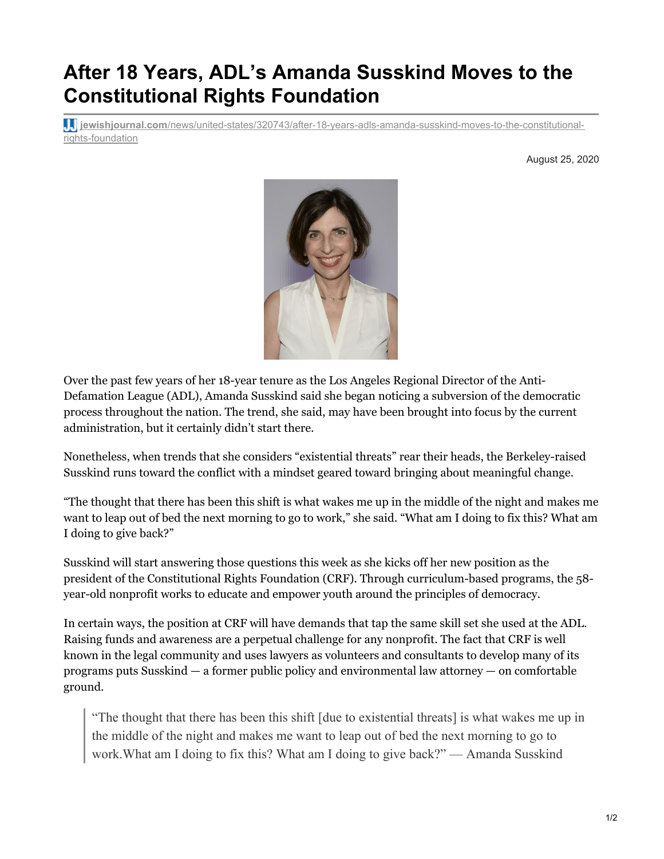## **After 18 Years, ADL's Amanda Susskind Moves to the Constitutional Rights Foundation**

**jewishjournal.com**[/news/united-states/320743/after-18-years-adls-amanda-susskind-moves-to-the-constitutional](https://jewishjournal.com/news/united-states/320743/after-18-years-adls-amanda-susskind-moves-to-the-constitutional-rights-foundation/)rights-foundation

August 25, 2020



Over the past few years of her 18-year tenure as the Los Angeles Regional Director of the Anti-Defamation League (ADL), Amanda Susskind said she began noticing a subversion of the democratic process throughout the nation. The trend, she said, may have been brought into focus by the current administration, but it certainly didn't start there.

Nonetheless, when trends that she considers "existential threats" rear their heads, the Berkeley-raised Susskind runs toward the conflict with a mindset geared toward bringing about meaningful change.

"The thought that there has been this shift is what wakes me up in the middle of the night and makes me want to leap out of bed the next morning to go to work," she said. "What am I doing to fix this? What am I doing to give back?"

Susskind will start answering those questions this week as she kicks off her new position as the president of the Constitutional Rights Foundation (CRF). Through curriculum-based programs, the 58 year-old nonprofit works to educate and empower youth around the principles of democracy.

In certain ways, the position at CRF will have demands that tap the same skill set she used at the ADL. Raising funds and awareness are a perpetual challenge for any nonprofit. The fact that CRF is well known in the legal community and uses lawyers as volunteers and consultants to develop many of its programs puts Susskind — a former public policy and environmental law attorney — on comfortable ground.

"The thought that there has been this shift [due to existential threats] is what wakes me up in the middle of the night and makes me want to leap out of bed the next morning to go to work.What am I doing to fix this? What am I doing to give back?" — Amanda Susskind